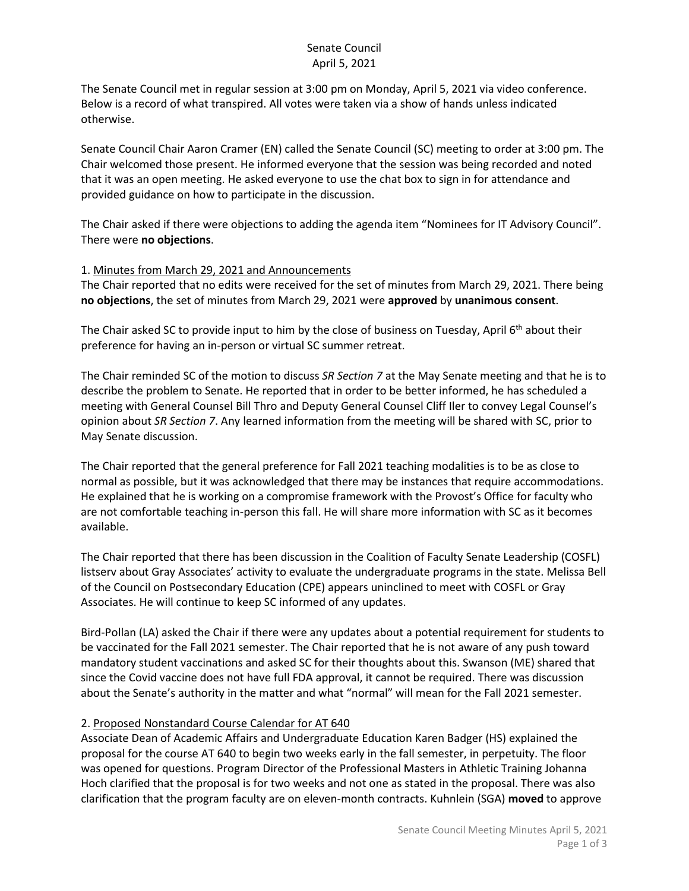## Senate Council April 5, 2021

The Senate Council met in regular session at 3:00 pm on Monday, April 5, 2021 via video conference. Below is a record of what transpired. All votes were taken via a show of hands unless indicated otherwise.

Senate Council Chair Aaron Cramer (EN) called the Senate Council (SC) meeting to order at 3:00 pm. The Chair welcomed those present. He informed everyone that the session was being recorded and noted that it was an open meeting. He asked everyone to use the chat box to sign in for attendance and provided guidance on how to participate in the discussion.

The Chair asked if there were objections to adding the agenda item "Nominees for IT Advisory Council". There were **no objections**.

### 1. Minutes from March 29, 2021 and Announcements

The Chair reported that no edits were received for the set of minutes from March 29, 2021. There being **no objections**, the set of minutes from March 29, 2021 were **approved** by **unanimous consent**.

The Chair asked SC to provide input to him by the close of business on Tuesday, April 6<sup>th</sup> about their preference for having an in-person or virtual SC summer retreat.

The Chair reminded SC of the motion to discuss *SR Section 7* at the May Senate meeting and that he is to describe the problem to Senate. He reported that in order to be better informed, he has scheduled a meeting with General Counsel Bill Thro and Deputy General Counsel Cliff Iler to convey Legal Counsel's opinion about *SR Section 7*. Any learned information from the meeting will be shared with SC, prior to May Senate discussion.

The Chair reported that the general preference for Fall 2021 teaching modalities is to be as close to normal as possible, but it was acknowledged that there may be instances that require accommodations. He explained that he is working on a compromise framework with the Provost's Office for faculty who are not comfortable teaching in-person this fall. He will share more information with SC as it becomes available.

The Chair reported that there has been discussion in the Coalition of Faculty Senate Leadership (COSFL) listserv about Gray Associates' activity to evaluate the undergraduate programs in the state. Melissa Bell of the Council on Postsecondary Education (CPE) appears uninclined to meet with COSFL or Gray Associates. He will continue to keep SC informed of any updates.

Bird-Pollan (LA) asked the Chair if there were any updates about a potential requirement for students to be vaccinated for the Fall 2021 semester. The Chair reported that he is not aware of any push toward mandatory student vaccinations and asked SC for their thoughts about this. Swanson (ME) shared that since the Covid vaccine does not have full FDA approval, it cannot be required. There was discussion about the Senate's authority in the matter and what "normal" will mean for the Fall 2021 semester.

# 2. Proposed Nonstandard Course Calendar for AT 640

Associate Dean of Academic Affairs and Undergraduate Education Karen Badger (HS) explained the proposal for the course AT 640 to begin two weeks early in the fall semester, in perpetuity. The floor was opened for questions. Program Director of the Professional Masters in Athletic Training Johanna Hoch clarified that the proposal is for two weeks and not one as stated in the proposal. There was also clarification that the program faculty are on eleven-month contracts. Kuhnlein (SGA) **moved** to approve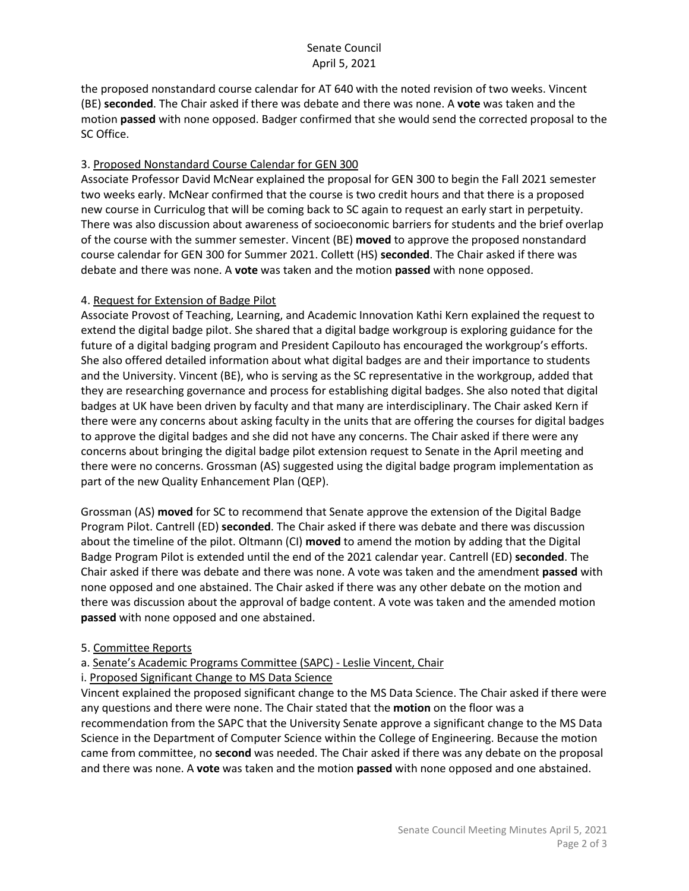the proposed nonstandard course calendar for AT 640 with the noted revision of two weeks. Vincent (BE) **seconded**. The Chair asked if there was debate and there was none. A **vote** was taken and the motion **passed** with none opposed. Badger confirmed that she would send the corrected proposal to the SC Office.

## 3. Proposed Nonstandard Course Calendar for GEN 300

Associate Professor David McNear explained the proposal for GEN 300 to begin the Fall 2021 semester two weeks early. McNear confirmed that the course is two credit hours and that there is a proposed new course in Curriculog that will be coming back to SC again to request an early start in perpetuity. There was also discussion about awareness of socioeconomic barriers for students and the brief overlap of the course with the summer semester. Vincent (BE) **moved** to approve the proposed nonstandard course calendar for GEN 300 for Summer 2021. Collett (HS) **seconded**. The Chair asked if there was debate and there was none. A **vote** was taken and the motion **passed** with none opposed.

### 4. Request for Extension of Badge Pilot

Associate Provost of Teaching, Learning, and Academic Innovation Kathi Kern explained the request to extend the digital badge pilot. She shared that a digital badge workgroup is exploring guidance for the future of a digital badging program and President Capilouto has encouraged the workgroup's efforts. She also offered detailed information about what digital badges are and their importance to students and the University. Vincent (BE), who is serving as the SC representative in the workgroup, added that they are researching governance and process for establishing digital badges. She also noted that digital badges at UK have been driven by faculty and that many are interdisciplinary. The Chair asked Kern if there were any concerns about asking faculty in the units that are offering the courses for digital badges to approve the digital badges and she did not have any concerns. The Chair asked if there were any concerns about bringing the digital badge pilot extension request to Senate in the April meeting and there were no concerns. Grossman (AS) suggested using the digital badge program implementation as part of the new Quality Enhancement Plan (QEP).

Grossman (AS) **moved** for SC to recommend that Senate approve the extension of the Digital Badge Program Pilot. Cantrell (ED) **seconded**. The Chair asked if there was debate and there was discussion about the timeline of the pilot. Oltmann (CI) **moved** to amend the motion by adding that the Digital Badge Program Pilot is extended until the end of the 2021 calendar year. Cantrell (ED) **seconded**. The Chair asked if there was debate and there was none. A vote was taken and the amendment **passed** with none opposed and one abstained. The Chair asked if there was any other debate on the motion and there was discussion about the approval of badge content. A vote was taken and the amended motion **passed** with none opposed and one abstained.

#### 5. Committee Reports

a. Senate's Academic Programs Committee (SAPC) - Leslie Vincent, Chair

# i. Proposed Significant Change to MS Data Science

Vincent explained the proposed significant change to the MS Data Science. The Chair asked if there were any questions and there were none. The Chair stated that the **motion** on the floor was a recommendation from the SAPC that the University Senate approve a significant change to the MS Data Science in the Department of Computer Science within the College of Engineering. Because the motion came from committee, no **second** was needed. The Chair asked if there was any debate on the proposal and there was none. A **vote** was taken and the motion **passed** with none opposed and one abstained.